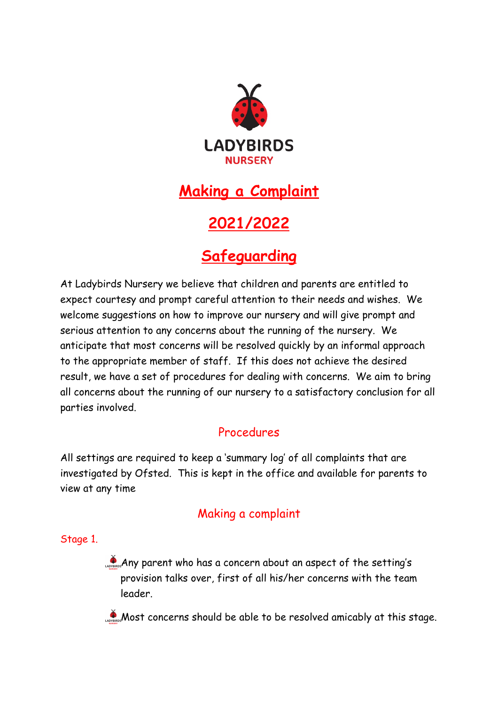

## **Making a Complaint**

# **2021/2022**

## **Safeguarding**

At Ladybirds Nursery we believe that children and parents are entitled to expect courtesy and prompt careful attention to their needs and wishes. We welcome suggestions on how to improve our nursery and will give prompt and serious attention to any concerns about the running of the nursery. We anticipate that most concerns will be resolved quickly by an informal approach to the appropriate member of staff. If this does not achieve the desired result, we have a set of procedures for dealing with concerns. We aim to bring all concerns about the running of our nursery to a satisfactory conclusion for all parties involved.

### Procedures

All settings are required to keep a 'summary log' of all complaints that are investigated by Ofsted. This is kept in the office and available for parents to view at any time

### Making a complaint

Stage 1.

Any parent who has a concern about an aspect of the setting's provision talks over, first of all his/her concerns with the team leader.

Most concerns should be able to be resolved amicably at this stage.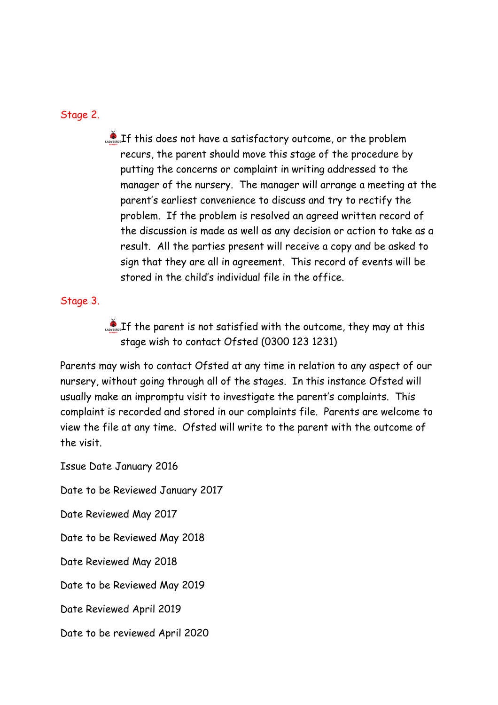#### Stage 2.

 $\bullet$  If this does not have a satisfactory outcome, or the problem recurs, the parent should move this stage of the procedure by putting the concerns or complaint in writing addressed to the manager of the nursery. The manager will arrange a meeting at the parent's earliest convenience to discuss and try to rectify the problem. If the problem is resolved an agreed written record of the discussion is made as well as any decision or action to take as a result. All the parties present will receive a copy and be asked to sign that they are all in agreement. This record of events will be stored in the child's individual file in the office.

#### Stage 3.

 $\mathbf{I}_{\text{Lip}}$  is not satisfied with the outcome, they may at this stage wish to contact Ofsted (0300 123 1231)

Parents may wish to contact Ofsted at any time in relation to any aspect of our nursery, without going through all of the stages. In this instance Ofsted will usually make an impromptu visit to investigate the parent's complaints. This complaint is recorded and stored in our complaints file. Parents are welcome to view the file at any time. Ofsted will write to the parent with the outcome of the visit.

Issue Date January 2016 Date to be Reviewed January 2017 Date Reviewed May 2017 Date to be Reviewed May 2018 Date Reviewed May 2018 Date to be Reviewed May 2019 Date Reviewed April 2019 Date to be reviewed April 2020